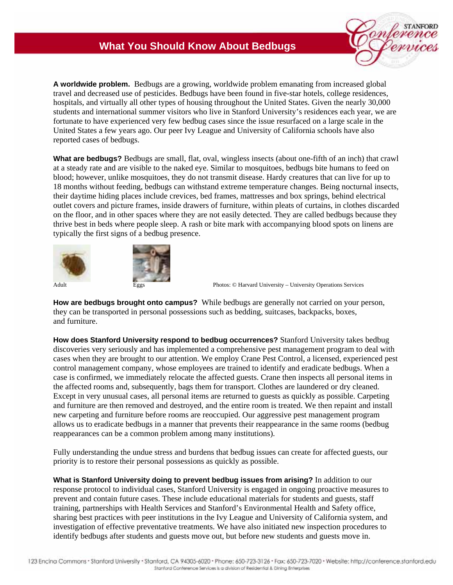## **What You Should Know About Bedbugs**



**A worldwide problem.** Bedbugs are a growing, worldwide problem emanating from increased global travel and decreased use of pesticides. Bedbugs have been found in five-star hotels, college residences, hospitals, and virtually all other types of housing throughout the United States. Given the nearly 30,000 students and international summer visitors who live in Stanford University's residences each year, we are fortunate to have experienced very few bedbug cases since the issue resurfaced on a large scale in the United States a few years ago. Our peer Ivy League and University of California schools have also reported cases of bedbugs.

**What are bedbugs?** Bedbugs are small, flat, oval, wingless insects (about one-fifth of an inch) that crawl at a steady rate and are visible to the naked eye. Similar to mosquitoes, bedbugs bite humans to feed on blood; however, unlike mosquitoes, they do not transmit disease. Hardy creatures that can live for up to 18 months without feeding, bedbugs can withstand extreme temperature changes. Being nocturnal insects, their daytime hiding places include crevices, bed frames, mattresses and box springs, behind electrical outlet covers and picture frames, inside drawers of furniture, within pleats of curtains, in clothes discarded on the floor, and in other spaces where they are not easily detected. They are called bedbugs because they thrive best in beds where people sleep. A rash or bite mark with accompanying blood spots on linens are typically the first signs of a bedbug presence.





Adult Eggs **Photos: © Harvard University – University Operations Services** 

**How are bedbugs brought onto campus?** While bedbugs are generally not carried on your person, they can be transported in personal possessions such as bedding, suitcases, backpacks, boxes, and furniture.

**How does Stanford University respond to bedbug occurrences?** Stanford University takes bedbug discoveries very seriously and has implemented a comprehensive pest management program to deal with cases when they are brought to our attention. We employ Crane Pest Control, a licensed, experienced pest control management company, whose employees are trained to identify and eradicate bedbugs. When a case is confirmed, we immediately relocate the affected guests. Crane then inspects all personal items in the affected rooms and, subsequently, bags them for transport. Clothes are laundered or dry cleaned. Except in very unusual cases, all personal items are returned to guests as quickly as possible. Carpeting and furniture are then removed and destroyed, and the entire room is treated. We then repaint and install new carpeting and furniture before rooms are reoccupied. Our aggressive pest management program allows us to eradicate bedbugs in a manner that prevents their reappearance in the same rooms (bedbug reappearances can be a common problem among many institutions).

Fully understanding the undue stress and burdens that bedbug issues can create for affected guests, our priority is to restore their personal possessions as quickly as possible.

**What is Stanford University doing to prevent bedbug issues from arising?** In addition to our response protocol to individual cases, Stanford University is engaged in ongoing proactive measures to prevent and contain future cases. These include educational materials for students and guests, staff training, partnerships with Health Services and Stanford's Environmental Health and Safety office, sharing best practices with peer institutions in the Ivy League and University of California system, and investigation of effective preventative treatments. We have also initiated new inspection procedures to identify bedbugs after students and guests move out, but before new students and guests move in.